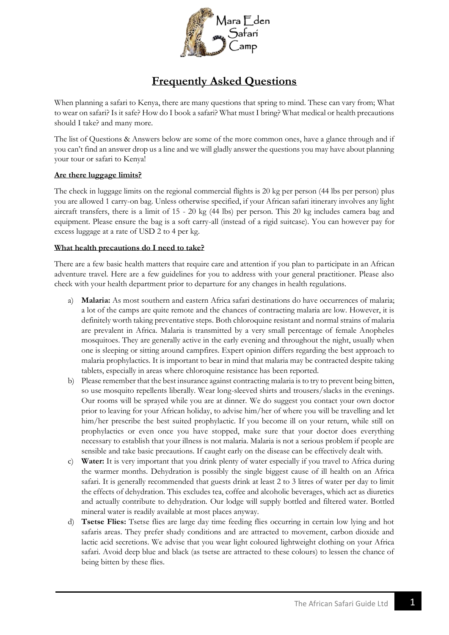

# **Frequently Asked Questions**

When planning a safari to Kenya, there are many questions that spring to mind. These can vary from; What to wear on safari? Is it safe? How do I book a safari? What must I bring? What medical or health precautions should I take? and many more.

The list of Questions & Answers below are some of the more common ones, have a glance through and if you can't find an answer drop us a line and we will gladly answer the questions you may have about planning your tour or safari to Kenya!

# **Are there luggage limits?**

The check in luggage limits on the regional commercial flights is 20 kg per person (44 lbs per person) plus you are allowed 1 carry-on bag. Unless otherwise specified, if your African safari itinerary involves any light aircraft transfers, there is a limit of 15 - 20 kg (44 lbs) per person. This 20 kg includes camera bag and equipment. Please ensure the bag is a soft carry-all (instead of a rigid suitcase). You can however pay for excess luggage at a rate of USD 2 to 4 per kg.

#### **What health precautions do I need to take?**

There are a few basic health matters that require care and attention if you plan to participate in an African adventure travel. Here are a few guidelines for you to address with your general practitioner. Please also check with your health department prior to departure for any changes in health regulations.

- a) **Malaria:** As most southern and eastern Africa safari destinations do have occurrences of malaria; a lot of the camps are quite remote and the chances of contracting malaria are low. However, it is definitely worth taking preventative steps. Both chloroquine resistant and normal strains of malaria are prevalent in Africa. Malaria is transmitted by a very small percentage of female Anopheles mosquitoes. They are generally active in the early evening and throughout the night, usually when one is sleeping or sitting around campfires. Expert opinion differs regarding the best approach to malaria prophylactics. It is important to bear in mind that malaria may be contracted despite taking tablets, especially in areas where chloroquine resistance has been reported.
- b) Please remember that the best insurance against contracting malaria is to try to prevent being bitten, so use mosquito repellents liberally. Wear long-sleeved shirts and trousers/slacks in the evenings. Our rooms will be sprayed while you are at dinner. We do suggest you contact your own doctor prior to leaving for your African holiday, to advise him/her of where you will be travelling and let him/her prescribe the best suited prophylactic. If you become ill on your return, while still on prophylactics or even once you have stopped, make sure that your doctor does everything necessary to establish that your illness is not malaria. Malaria is not a serious problem if people are sensible and take basic precautions. If caught early on the disease can be effectively dealt with.
- c) **Water:** It is very important that you drink plenty of water especially if you travel to Africa during the warmer months. Dehydration is possibly the single biggest cause of ill health on an Africa safari. It is generally recommended that guests drink at least 2 to 3 litres of water per day to limit the effects of dehydration. This excludes tea, coffee and alcoholic beverages, which act as diuretics and actually contribute to dehydration. Our lodge will supply bottled and filtered water. Bottled mineral water is readily available at most places anyway.
- d) **Tsetse Flies:** Tsetse flies are large day time feeding flies occurring in certain low lying and hot safaris areas. They prefer shady conditions and are attracted to movement, carbon dioxide and lactic acid secretions. We advise that you wear light coloured lightweight clothing on your Africa safari. Avoid deep blue and black (as tsetse are attracted to these colours) to lessen the chance of being bitten by these flies.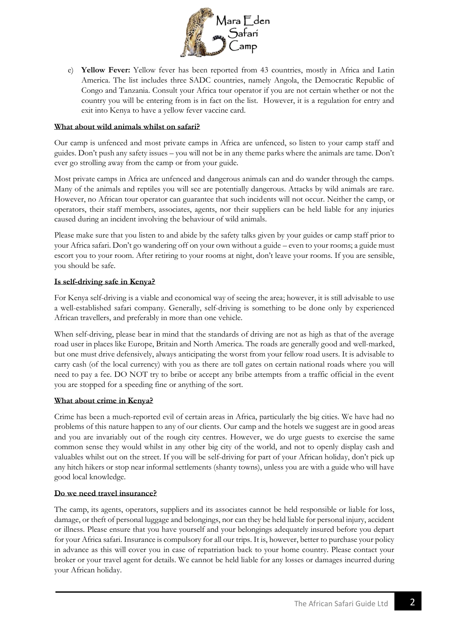

e) **Yellow Fever:** Yellow fever has been reported from 43 countries, mostly in Africa and Latin America. The list includes three SADC countries, namely Angola, the Democratic Republic of Congo and Tanzania. Consult your Africa tour operator if you are not certain whether or not the country you will be entering from is in fact on the list. However, it is a regulation for entry and exit into Kenya to have a yellow fever vaccine card.

# **What about wild animals whilst on safari?**

Our camp is unfenced and most private camps in Africa are unfenced, so listen to your camp staff and guides. Don't push any safety issues – you will not be in any theme parks where the animals are tame. Don't ever go strolling away from the camp or from your guide.

Most private camps in Africa are unfenced and dangerous animals can and do wander through the camps. Many of the animals and reptiles you will see are potentially dangerous. Attacks by wild animals are rare. However, no African tour operator can guarantee that such incidents will not occur. Neither the camp, or operators, their staff members, associates, agents, nor their suppliers can be held liable for any injuries caused during an incident involving the behaviour of wild animals.

Please make sure that you listen to and abide by the safety talks given by your guides or camp staff prior to your Africa safari. Don't go wandering off on your own without a guide – even to your rooms; a guide must escort you to your room. After retiring to your rooms at night, don't leave your rooms. If you are sensible, you should be safe.

# **Is self-driving safe in Kenya?**

For Kenya self-driving is a viable and economical way of seeing the area; however, it is still advisable to use a well-established safari company. Generally, self-driving is something to be done only by experienced African travellers, and preferably in more than one vehicle.

When self-driving, please bear in mind that the standards of driving are not as high as that of the average road user in places like Europe, Britain and North America. The roads are generally good and well-marked, but one must drive defensively, always anticipating the worst from your fellow road users. It is advisable to carry cash (of the local currency) with you as there are toll gates on certain national roads where you will need to pay a fee. DO NOT try to bribe or accept any bribe attempts from a traffic official in the event you are stopped for a speeding fine or anything of the sort.

#### **What about crime in Kenya?**

Crime has been a much-reported evil of certain areas in Africa, particularly the big cities. We have had no problems of this nature happen to any of our clients. Our camp and the hotels we suggest are in good areas and you are invariably out of the rough city centres. However, we do urge guests to exercise the same common sense they would whilst in any other big city of the world, and not to openly display cash and valuables whilst out on the street. If you will be self-driving for part of your African holiday, don't pick up any hitch hikers or stop near informal settlements (shanty towns), unless you are with a guide who will have good local knowledge.

# **Do we need travel insurance?**

The camp, its agents, operators, suppliers and its associates cannot be held responsible or liable for loss, damage, or theft of personal luggage and belongings, nor can they be held liable for personal injury, accident or illness. Please ensure that you have yourself and your belongings adequately insured before you depart for your Africa safari. Insurance is compulsory for all our trips. It is, however, better to purchase your policy in advance as this will cover you in case of repatriation back to your home country. Please contact your broker or your travel agent for details. We cannot be held liable for any losses or damages incurred during your African holiday.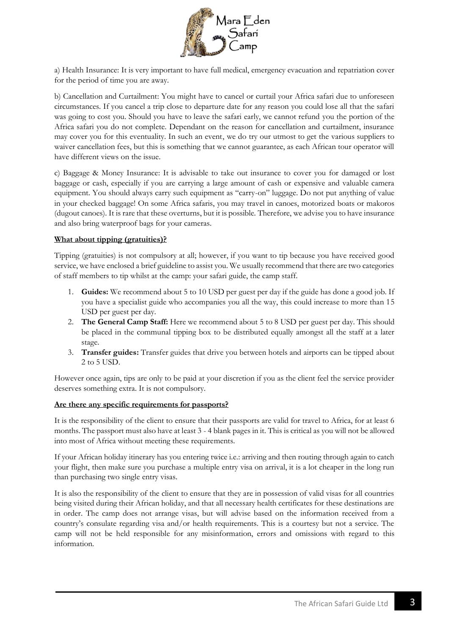

a) Health Insurance: It is very important to have full medical, emergency evacuation and repatriation cover for the period of time you are away.

b) Cancellation and Curtailment: You might have to cancel or curtail your Africa safari due to unforeseen circumstances. If you cancel a trip close to departure date for any reason you could lose all that the safari was going to cost you. Should you have to leave the safari early, we cannot refund you the portion of the Africa safari you do not complete. Dependant on the reason for cancellation and curtailment, insurance may cover you for this eventuality. In such an event, we do try our utmost to get the various suppliers to waiver cancellation fees, but this is something that we cannot guarantee, as each African tour operator will have different views on the issue.

c) Baggage & Money Insurance: It is advisable to take out insurance to cover you for damaged or lost baggage or cash, especially if you are carrying a large amount of cash or expensive and valuable camera equipment. You should always carry such equipment as "carry-on" luggage. Do not put anything of value in your checked baggage! On some Africa safaris, you may travel in canoes, motorized boats or makoros (dugout canoes). It is rare that these overturns, but it is possible. Therefore, we advise you to have insurance and also bring waterproof bags for your cameras.

# **What about tipping (gratuities)?**

Tipping (gratuities) is not compulsory at all; however, if you want to tip because you have received good service, we have enclosed a brief guideline to assist you. We usually recommend that there are two categories of staff members to tip whilst at the camp: your safari guide, the camp staff.

- 1. **Guides:** We recommend about 5 to 10 USD per guest per day if the guide has done a good job. If you have a specialist guide who accompanies you all the way, this could increase to more than 15 USD per guest per day.
- 2. **The General Camp Staff:** Here we recommend about 5 to 8 USD per guest per day. This should be placed in the communal tipping box to be distributed equally amongst all the staff at a later stage.
- 3. **Transfer guides:** Transfer guides that drive you between hotels and airports can be tipped about 2 to 5 USD.

However once again, tips are only to be paid at your discretion if you as the client feel the service provider deserves something extra. It is not compulsory.

#### **Are there any specific requirements for passports?**

It is the responsibility of the client to ensure that their passports are valid for travel to Africa, for at least 6 months. The passport must also have at least 3 - 4 blank pages in it. This is critical as you will not be allowed into most of Africa without meeting these requirements.

If your African holiday itinerary has you entering twice i.e.: arriving and then routing through again to catch your flight, then make sure you purchase a multiple entry visa on arrival, it is a lot cheaper in the long run than purchasing two single entry visas.

It is also the responsibility of the client to ensure that they are in possession of valid visas for all countries being visited during their African holiday, and that all necessary health certificates for these destinations are in order. The camp does not arrange visas, but will advise based on the information received from a country's consulate regarding visa and/or health requirements. This is a courtesy but not a service. The camp will not be held responsible for any misinformation, errors and omissions with regard to this information.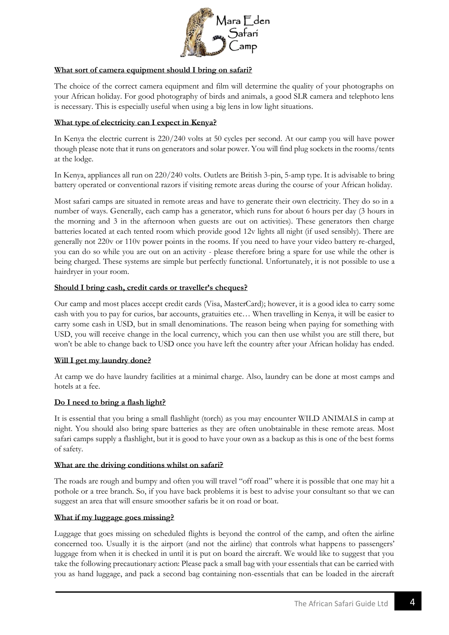

# **What sort of camera equipment should I bring on safari?**

The choice of the correct camera equipment and film will determine the quality of your photographs on your African holiday. For good photography of birds and animals, a good SLR camera and telephoto lens is necessary. This is especially useful when using a big lens in low light situations.

# **What type of electricity can I expect in Kenya?**

In Kenya the electric current is 220/240 volts at 50 cycles per second. At our camp you will have power though please note that it runs on generators and solar power. You will find plug sockets in the rooms/tents at the lodge.

In Kenya, appliances all run on 220/240 volts. Outlets are British 3-pin, 5-amp type. It is advisable to bring battery operated or conventional razors if visiting remote areas during the course of your African holiday.

Most safari camps are situated in remote areas and have to generate their own electricity. They do so in a number of ways. Generally, each camp has a generator, which runs for about 6 hours per day (3 hours in the morning and 3 in the afternoon when guests are out on activities). These generators then charge batteries located at each tented room which provide good 12v lights all night (if used sensibly). There are generally not 220v or 110v power points in the rooms. If you need to have your video battery re-charged, you can do so while you are out on an activity - please therefore bring a spare for use while the other is being charged. These systems are simple but perfectly functional. Unfortunately, it is not possible to use a hairdryer in your room.

# **Should I bring cash, credit cards or traveller's cheques?**

Our camp and most places accept credit cards (Visa, MasterCard); however, it is a good idea to carry some cash with you to pay for curios, bar accounts, gratuities etc… When travelling in Kenya, it will be easier to carry some cash in USD, but in small denominations. The reason being when paying for something with USD, you will receive change in the local currency, which you can then use whilst you are still there, but won't be able to change back to USD once you have left the country after your African holiday has ended.

#### **Will I get my laundry done?**

At camp we do have laundry facilities at a minimal charge. Also, laundry can be done at most camps and hotels at a fee.

# **Do I need to bring a flash light?**

It is essential that you bring a small flashlight (torch) as you may encounter WILD ANIMALS in camp at night. You should also bring spare batteries as they are often unobtainable in these remote areas. Most safari camps supply a flashlight, but it is good to have your own as a backup as this is one of the best forms of safety.

#### **What are the driving conditions whilst on safari?**

The roads are rough and bumpy and often you will travel "off road" where it is possible that one may hit a pothole or a tree branch. So, if you have back problems it is best to advise your consultant so that we can suggest an area that will ensure smoother safaris be it on road or boat.

#### **What if my luggage goes missing?**

Luggage that goes missing on scheduled flights is beyond the control of the camp, and often the airline concerned too. Usually it is the airport (and not the airline) that controls what happens to passengers' luggage from when it is checked in until it is put on board the aircraft. We would like to suggest that you take the following precautionary action: Please pack a small bag with your essentials that can be carried with you as hand luggage, and pack a second bag containing non-essentials that can be loaded in the aircraft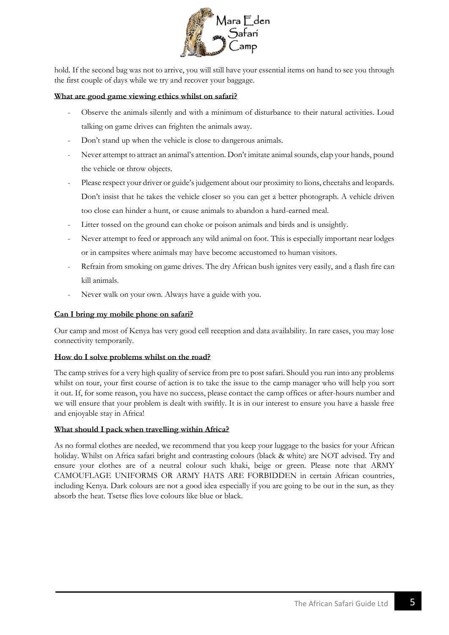

hold. If the second bag was not to arrive, you will still have your essential items on hand to see you through the first couple of days while we try and recover your baggage.

#### **What are good game viewing ethics whilst on safari?**

- Observe the animals silently and with a minimum of disturbance to their natural activities. Loud talking on game drives can frighten the animals away.
- Don't stand up when the vehicle is close to dangerous animals.
- Never attempt to attract an animal's attention. Don't imitate animal sounds, clap your hands, pound the vehicle or throw objects.
- Please respect your driver or guide's judgement about our proximity to lions, cheetahs and leopards. Don't insist that he takes the vehicle closer so you can get a better photograph. A vehicle driven too close can hinder a hunt, or cause animals to abandon a hard-earned meal.
- Litter tossed on the ground can choke or poison animals and birds and is unsightly.
- Never attempt to feed or approach any wild animal on foot. This is especially important near lodges or in campsites where animals may have become accustomed to human visitors.
- Refrain from smoking on game drives. The dry African bush ignites very easily, and a flash fire can kill animals.
- Never walk on your own. Always have a guide with you.

### **Can I bring my mobile phone on safari?**

Our camp and most of Kenya has very good cell reception and data availability. In rare cases, you may lose connectivity temporarily.

#### **How do I solve problems whilst on the road?**

The camp strives for a very high quality of service from pre to post safari. Should you run into any problems whilst on tour, your first course of action is to take the issue to the camp manager who will help you sort it out. If, for some reason, you have no success, please contact the camp offices or after-hours number and we will ensure that your problem is dealt with swiftly. It is in our interest to ensure you have a hassle free and enjoyable stay in Africa!

#### **What should I pack when travelling within Africa?**

As no formal clothes are needed, we recommend that you keep your luggage to the basics for your African holiday. Whilst on Africa safari bright and contrasting colours (black & white) are NOT advised. Try and ensure your clothes are of a neutral colour such khaki, beige or green. Please note that ARMY CAMOUFLAGE UNIFORMS OR ARMY HATS ARE FORBIDDEN in certain African countries, including Kenya. Dark colours are not a good idea especially if you are going to be out in the sun, as they absorb the heat. Tsetse flies love colours like blue or black.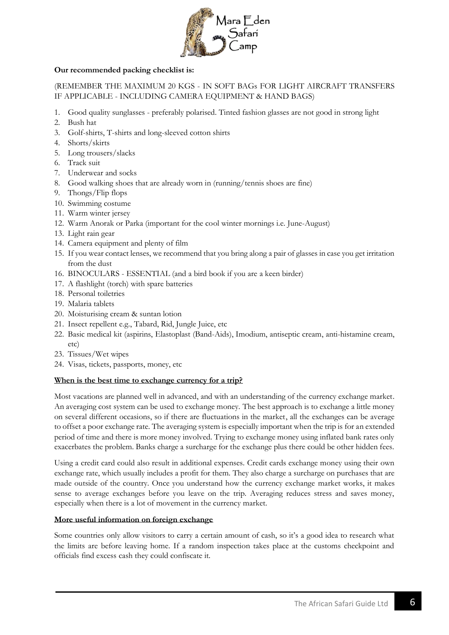

# **Our recommended packing checklist is:**

# (REMEMBER THE MAXIMUM 20 KGS - IN SOFT BAGs FOR LIGHT AIRCRAFT TRANSFERS IF APPLICABLE - INCLUDING CAMERA EQUIPMENT & HAND BAGS)

- 1. Good quality sunglasses preferably polarised. Tinted fashion glasses are not good in strong light
- 2. Bush hat
- 3. Golf-shirts, T-shirts and long-sleeved cotton shirts
- 4. Shorts/skirts
- 5. Long trousers/slacks
- 6. Track suit
- 7. Underwear and socks
- 8. Good walking shoes that are already worn in (running/tennis shoes are fine)
- 9. Thongs/Flip flops
- 10. Swimming costume
- 11. Warm winter jersey
- 12. Warm Anorak or Parka (important for the cool winter mornings i.e. June-August)
- 13. Light rain gear
- 14. Camera equipment and plenty of film
- 15. If you wear contact lenses, we recommend that you bring along a pair of glasses in case you get irritation from the dust
- 16. BINOCULARS ESSENTIAL (and a bird book if you are a keen birder)
- 17. A flashlight (torch) with spare batteries
- 18. Personal toiletries
- 19. Malaria tablets
- 20. Moisturising cream & suntan lotion
- 21. Insect repellent e.g., Tabard, Rid, Jungle Juice, etc
- 22. Basic medical kit (aspirins, Elastoplast (Band-Aids), Imodium, antiseptic cream, anti-histamine cream, etc)
- 23. Tissues/Wet wipes
- 24. Visas, tickets, passports, money, etc

#### **When is the best time to exchange currency for a trip?**

Most vacations are planned well in advanced, and with an understanding of the currency exchange market. An averaging cost system can be used to exchange money. The best approach is to exchange a little money on several different occasions, so if there are fluctuations in the market, all the exchanges can be average to offset a poor exchange rate. The averaging system is especially important when the trip is for an extended period of time and there is more money involved. Trying to exchange money using inflated bank rates only exacerbates the problem. Banks charge a surcharge for the exchange plus there could be other hidden fees.

Using a credit card could also result in additional expenses. Credit cards exchange money using their own exchange rate, which usually includes a profit for them. They also charge a surcharge on purchases that are made outside of the country. Once you understand how the currency exchange market works, it makes sense to average exchanges before you leave on the trip. Averaging reduces stress and saves money, especially when there is a lot of movement in the currency market.

# **More useful information on foreign exchange**

Some countries only allow visitors to carry a certain amount of cash, so it's a good idea to research what the limits are before leaving home. If a random inspection takes place at the customs checkpoint and officials find excess cash they could confiscate it.